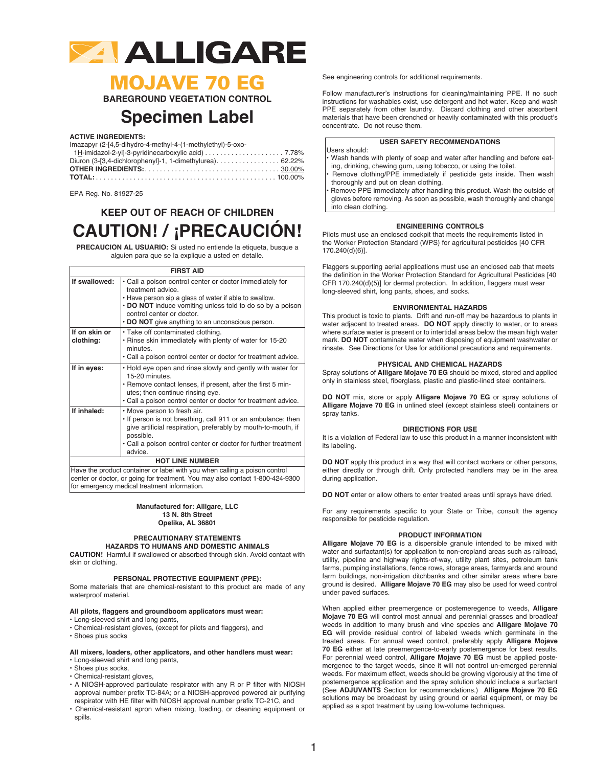

## MOJAVE 70 EG

**BAREGROUND VEGETATION CONTROL**

## **Specimen Label**

**ACTIVE INGREDIENTS:**

Imazapyr (2-[4,5-dihydro-4-methyl-4-(1-methylethyl)-5-oxo-

| Diuron (3-[3,4-dichlorophenyl]-1, 1-dimethylurea). 62.22% |  |
|-----------------------------------------------------------|--|
|                                                           |  |
|                                                           |  |

EPA Reg. No. 81927-25

## **KEEP OUT OF REACH OF CHILDREN CAUTION! / ¡PRECAUCIÓN!**

**PRECAUCION AL USUARIO:** Si usted no entiende la etiqueta, busque a alguien para que se la explique a usted en detalle.

## **FIRST AID**

| If swallowed:              | • Call a poison control center or doctor immediately for<br>treatment advice.                                                                                                                                                                          |  |  |
|----------------------------|--------------------------------------------------------------------------------------------------------------------------------------------------------------------------------------------------------------------------------------------------------|--|--|
|                            | . Have person sip a glass of water if able to swallow.<br>• DO NOT induce vomiting unless told to do so by a poison                                                                                                                                    |  |  |
|                            | control center or doctor.<br>$\cdot$ DO NOT give anything to an unconscious person.                                                                                                                                                                    |  |  |
| If on skin or<br>clothing: | • Take off contaminated clothing.<br>. Rinse skin immediately with plenty of water for 15-20<br>minutes.<br>• Call a poison control center or doctor for treatment advice.                                                                             |  |  |
| If in eyes:                | • Hold eye open and rinse slowly and gently with water for<br>15-20 minutes.<br>• Remove contact lenses, if present, after the first 5 min-<br>utes; then continue rinsing eye.<br>• Call a poison control center or doctor for treatment advice.      |  |  |
| If inhaled:                | • Move person to fresh air.<br>. If person is not breathing, call 911 or an ambulance; then<br>give artificial respiration, preferably by mouth-to-mouth, if<br>possible.<br>• Call a poison control center or doctor for further treatment<br>advice. |  |  |
| <b>HOT LINE NUMBER</b>     |                                                                                                                                                                                                                                                        |  |  |
|                            | والمستقصص متماشي والمستقالين متماسي والتناولية والملامية والمتحدث والمتحدث والمتحال ومتحاسبا والمستحدث                                                                                                                                                 |  |  |

Have the product container or label with you when calling a poison control center or doctor, or going for treatment. You may also contact 1-800-424-9300 for emergency medical treatment information.

> **Manufactured for: Alligare, LLC 13 N. 8th Street Opelika, AL 36801**

#### **PRECAUTIONARY STATEMENTS HAZARDS TO HUMANS AND DOMESTIC ANIMALS**

**CAUTION!** Harmful if swallowed or absorbed through skin. Avoid contact with skin or clothing.

### **PERSONAL PROTECTIVE EQUIPMENT (PPE):**

Some materials that are chemical-resistant to this product are made of any waterproof material.

#### **All pilots, flaggers and groundboom applicators must wear:** • Long-sleeved shirt and long pants,

- Chemical-resistant gloves, (except for pilots and flaggers), and
- 
- Shoes plus socks

#### **All mixers, loaders, other applicators, and other handlers must wear:**

- Long-sleeved shirt and long pants,
- Shoes plus socks,
- Chemical-resistant gloves,
- A NIOSH-approved particulate respirator with any R or P filter with NIOSH approval number prefix TC-84A; or a NIOSH-approved powered air purifying respirator with HE filter with NIOSH approval number prefix TC-21C, and
- Chemical-resistant apron when mixing, loading, or cleaning equipment or spills.

See engineering controls for additional requirements.

Follow manufacturer's instructions for cleaning/maintaining PPE. If no such instructions for washables exist, use detergent and hot water. Keep and wash PPE separately from other laundry. Discard clothing and other absorbent materials that have been drenched or heavily contaminated with this product's concentrate. Do not reuse them.

### **USER SAFETY RECOMMENDATIONS**

- Users should: • Wash hands with plenty of soap and water after handling and before eating, drinking, chewing gum, using tobacco, or using the toilet.
- Remove clothing/PPE immediately if pesticide gets inside. Then wash thoroughly and put on clean clothing.

• Remove PPE immediately after handling this product. Wash the outside of gloves before removing. As soon as possible, wash thoroughly and change into clean clothing.

#### **ENGINEERING CONTROLS**

Pilots must use an enclosed cockpit that meets the requirements listed in the Worker Protection Standard (WPS) for agricultural pesticides [40 CFR 170.240(d)(6)].

Flaggers supporting aerial applications must use an enclosed cab that meets the definition in the Worker Protection Standard for Agricultural Pesticides [40 CFR 170.240(d)(5)] for dermal protection. In addition, flaggers must wear long-sleeved shirt, long pants, shoes, and socks.

#### **ENVIRONMENTAL HAZARDS**

This product is toxic to plants. Drift and run-off may be hazardous to plants in water adjacent to treated areas. **DO NOT** apply directly to water, or to areas where surface water is present or to intertidal areas below the mean high water mark. **DO NOT** contaminate water when disposing of equipment washwater or rinsate. See Directions for Use for additional precautions and requirements.

#### **PHYSICAL AND CHEMICAL HAZARDS**

Spray solutions of **Alligare Mojave 70 EG** should be mixed, stored and applied only in stainless steel, fiberglass, plastic and plastic-lined steel containers.

**DO NOT** mix, store or apply **Alligare Mojave 70 EG** or spray solutions of **Alligare Mojave 70 EG** in unlined steel (except stainless steel) containers or spray tanks.

#### **DIRECTIONS FOR USE**

It is a violation of Federal law to use this product in a manner inconsistent with its labeling.

**DO NOT** apply this product in a way that will contact workers or other persons, either directly or through drift. Only protected handlers may be in the area during application.

**DO NOT** enter or allow others to enter treated areas until sprays have dried.

For any requirements specific to your State or Tribe, consult the agency responsible for pesticide regulation.

#### **PRODUCT INFORMATION**

**Alligare Mojave 70 EG** is a dispersible granule intended to be mixed with water and surfactant(s) for application to non-cropland areas such as railroad, utility, pipeline and highway rights-of-way, utility plant sites, petroleum tank farms, pumping installations, fence rows, storage areas, farmyards and around farm buildings, non-irrigation ditchbanks and other similar areas where bare ground is desired. **Alligare Mojave 70 EG** may also be used for weed control under paved surfaces.

When applied either preemergence or postemeregence to weeds, **Alligare Mojave 70 EG** will control most annual and perennial grasses and broadleaf weeds in addition to many brush and vine species and **Alligare Mojave 70 EG** will provide residual control of labeled weeds which germinate in the treated areas. For annual weed control, preferably apply **Alligare Mojave 70 EG** either at late preemergence-to-early postemergence for best results. For perennial weed control, **Alligare Mojave 70 EG** must be applied postemergence to the target weeds, since it will not control un-emerged perennial weeds. For maximum effect, weeds should be growing vigorously at the time of postemergence application and the spray solution should include a surfactant (See **ADJUVANTS** Section for recommendations.) **Alligare Mojave 70 EG**  solutions may be broadcast by using ground or aerial equipment, or may be applied as a spot treatment by using low-volume techniques.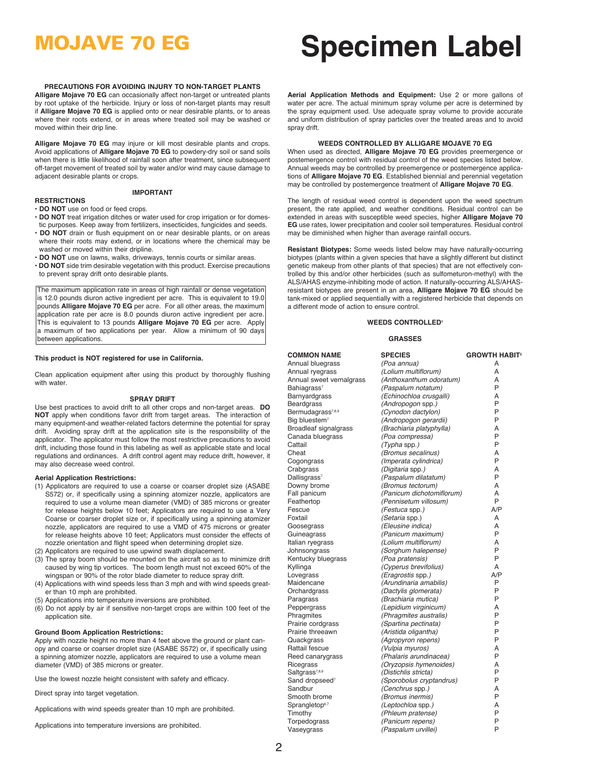# MOJAVE 70 EG **Specimen Label**

#### **PRECAUTIONS FOR AVOIDING INJURY TO NON-TARGET PLANTS**

**Alligare Mojave 70 EG** can occasionally affect non-target or untreated plants by root uptake of the herbicide. Injury or loss of non-target plants may result if **Alligare Mojave 70 EG** is applied onto or near desirable plants, or to areas where their roots extend, or in areas where treated soil may be washed or moved within their drip line.

**Alligare Mojave 70 EG** may injure or kill most desirable plants and crops. Avoid applications of **Alligare Mojave 70 EG** to powdery-dry soil or sand soils when there is little likelihood of rainfall soon after treatment, since subsequent off-target movement of treated soil by water and/or wind may cause damage to adjacent desirable plants or crops.

#### **RESTRICTIONS**

- **DO NOT** use on food or feed crops.
- **DO NOT** treat irrigation ditches or water used for crop irrigation or for domestic purposes. Keep away from fertilizers, insecticides, fungicides and seeds.

**IMPORTANT**

- **DO NOT** drain or flush equipment on or near desirable plants, or on areas where their roots may extend, or in locations where the chemical may be washed or moved within their dripline.
- **DO NOT** use on lawns, walks, driveways, tennis courts or similar areas.
- **DO NOT** side trim desirable vegetation with this product. Exercise precautions to prevent spray drift onto desirable plants.

The maximum application rate in areas of high rainfall or dense vegetation is 12.0 pounds diuron active ingredient per acre. This is equivalent to 19.0 pounds **Alligare Mojave 70 EG** per acre. For all other areas, the maximum application rate per acre is 8.0 pounds diuron active ingredient per acre. This is equivalent to 13 pounds **Alligare Mojave 70 EG** per acre. Apply a maximum of two applications per year. Allow a minimum of 90 days between applications.

#### **This product is NOT registered for use in California.**

Clean application equipment after using this product by thoroughly flushing with water.

#### **SPRAY DRIFT**

Use best practices to avoid drift to all other crops and non-target areas. **DO NOT** apply when conditions favor drift from target areas. The interaction of many equipment-and weather-related factors determine the potential for spray drift. Avoiding spray drift at the application site is the responsibility of the applicator. The applicator must follow the most restrictive precautions to avoid drift, including those found in this labeling as well as applicable state and local regulations and ordinances. A drift control agent may reduce drift, however, it may also decrease weed control.

### **Aerial Application Restrictions:**

- (1) Applicators are required to use a coarse or coarser droplet size (ASABE S572) or, if specifically using a spinning atomizer nozzle, applicators are required to use a volume mean diameter (VMD) of 385 microns or greater for release heights below 10 feet; Applicators are required to use a Very Coarse or coarser droplet size or, if specifically using a spinning atomizer nozzle, applicators are required to use a VMD of 475 microns or greater for release heights above 10 feet; Applicators must consider the effects of nozzle orientation and flight speed when determining droplet size.
- (2) Applicators are required to use upwind swath displacement.
- (3) The spray boom should be mounted on the aircraft so as to minimize drift caused by wing tip vortices. The boom length must not exceed 60% of the wingspan or 90% of the rotor blade diameter to reduce spray drift.
- (4) Applications with wind speeds less than 3 mph and with wind speeds greater than 10 mph are prohibited.
- (5) Applications into temperature inversions are prohibited.
- (6) Do not apply by air if sensitive non-target crops are within 100 feet of the application site.

#### **Ground Boom Application Restrictions:**

Apply with nozzle height no more than 4 feet above the ground or plant canopy and coarse or coarser droplet size (ASABE S572) or, if specifically using a spinning atomizer nozzle, applicators are required to use a volume mean diameter (VMD) of 385 microns or greater.

Use the lowest nozzle height consistent with safety and efficacy.

Direct spray into target vegetation.

Applications with wind speeds greater than 10 mph are prohibited.

Applications into temperature inversions are prohibited.

**Aerial Application Methods and Equipment:** Use 2 or more gallons of water per acre. The actual minimum spray volume per acre is determined by the spray equipment used. Use adequate spray volume to provide accurate and uniform distribution of spray particles over the treated areas and to avoid spray drift.

#### **WEEDS CONTROLLED BY ALLIGARE MOJAVE 70 EG**

When used as directed, **Alligare Mojave 70 EG** provides preemergence or postemergence control with residual control of the weed species listed below. Annual weeds may be controlled by preemergence or postemergence applications of **Alligare Mojave 70 EG**. Established biennial and perennial vegetation may be controlled by postemergence treatment of **Alligare Mojave 70 EG**.

The length of residual weed control is dependent upon the weed spectrum present, the rate applied, and weather conditions. Residual control can be extended in areas with susceptible weed species, higher **Alligare Mojave 70 EG** use rates, lower precipitation and cooler soil temperatures. Residual control may be diminished when higher than average rainfall occurs.

**Resistant Biotypes:** Some weeds listed below may have naturally-occurring biotypes (plants within a given species that have a slightly different but distinct genetic makeup from other plants of that species) that are not effectively controlled by this and/or other herbicides (such as sulfometuron-methyl) with the ALS/AHAS enzyme-inhibiting mode of action. If naturally-occurring ALS/AHASresistant biotypes are present in an area, **Alligare Mojave 70 EG** should be tank-mixed or applied sequentially with a registered herbicide that depends on a different mode of action to ensure control.

#### **WEEDS CONTROLLED1**

#### **GRASSES**

| <b>COMMON NAME</b>            | <b>SPECIES</b>                            | <b>GROWTH HABIT<sup>2</sup></b> |
|-------------------------------|-------------------------------------------|---------------------------------|
| Annual bluegrass              | (Poa annua)                               | А                               |
| Annual ryegrass               | (Lolium multiflorum)                      | A                               |
| Annual sweet vernalgrass      | (Anthoxanthum odoratum)                   | А                               |
| Bahiagrass <sup>7</sup>       | (Paspalum notatum)                        | P                               |
| Barnyardgrass                 | (Echinochloa crusgalli)                   | A                               |
| Beardgrass                    | (Andropogon spp.)                         | P                               |
| Bermudagrass <sup>7,8,9</sup> | (Cynodon dactylon)                        | P                               |
| Big bluestem <sup>7</sup>     | (Andropogon gerardii)                     | P                               |
| <b>Broadleaf signalgrass</b>  | (Brachiaria platyphylla)                  | А                               |
| Canada bluegrass              | (Poa compressa)                           | P                               |
| Cattail                       | (Typha spp.)                              | P                               |
| Cheat                         | (Bromus secalinus)                        | A                               |
| Cogongrass                    | (Imperata cylindrica)                     | P                               |
| Crabgrass                     | (Digitaria spp.)                          | Α                               |
| Dallisgrass <sup>7</sup>      | (Paspalum dilatatum)                      | P                               |
| Downy brome                   | (Bromus tectorum)                         | A                               |
| Fall panicum                  | (Panicum dichotomiflorum)                 | Α                               |
| Feathertop                    | (Pennisetum villosum)                     | P                               |
| Fescue                        | (Festuca spp.)                            | A/P                             |
| Foxtail                       | (Setaria spp.)                            | A                               |
| Goosegrass                    | (Eleusine indica)                         | Α                               |
| Guineagrass                   | (Panicum maximum)                         | P                               |
| Italian ryegrass              | (Lolium multiflorum)                      | A                               |
| Johnsongrass                  | (Sorghum halepense)                       | P                               |
| Kentucky bluegrass            | (Poa pratensis)                           | P                               |
| Kyllinga                      | (Cyperus brevifolius)                     | A                               |
| Lovegrass                     | <i>(Eragrostis spp.)</i>                  | A/P                             |
| Maidencane                    | (Arundinaria amabilis)                    | P                               |
| Orchardgrass                  | (Dactylis glomerata)                      | P                               |
| Paragrass                     | (Brachiaria mutica)                       | P                               |
| Peppergrass                   | (Lepidium virginicum)                     | A                               |
| Phragmites                    | (Phragmites australis)                    | P<br>P                          |
| Prairie cordgrass             | (Spartina pectinata)                      | P                               |
| Prairie threeawn              | (Aristida oligantha)                      | P                               |
| Quackgrass<br>Rattail fescue  | (Agropyron repens)                        | Α                               |
| Reed canarygrass              | (Vulpia myuros)<br>(Phalaris arundinacea) | P                               |
| Ricegrass                     | (Oryzopsis hymenoides)                    | A                               |
| Saltgrass <sup>7,8,9</sup>    | (Distichlis stricta)                      | P                               |
| Sand dropseed <sup>7</sup>    | (Sporobolus cryptandrus)                  | P                               |
| Sandbur                       | (Cenchrus spp.)                           | A                               |
| Smooth brome                  | (Bromus inermis)                          | P                               |
| Sprangletop <sup>6,7</sup>    | (Leptochloa spp.)                         | A                               |
| Timothy                       | (Phleum pratense)                         | P                               |
| Torpedograss                  | (Panicum repens)                          | P                               |
| Vaseygrass                    | (Paspalum urvillei)                       | P                               |
|                               |                                           |                                 |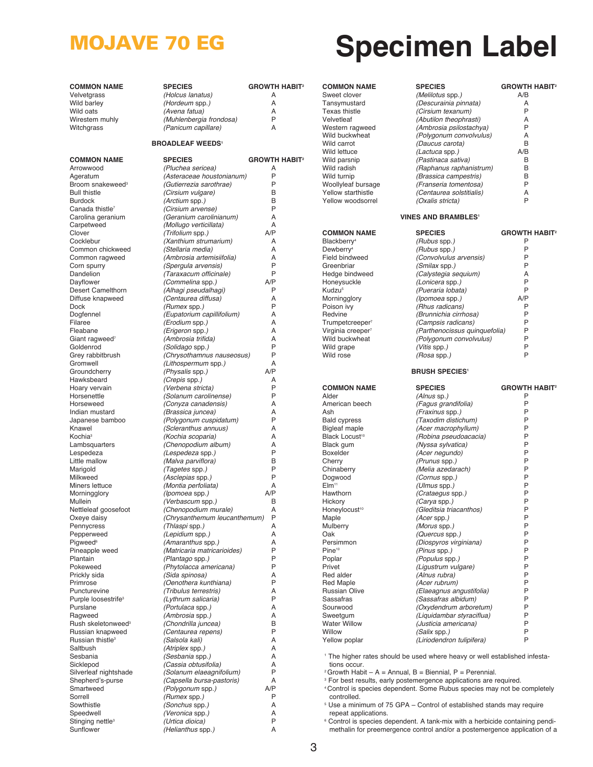| <b>COMMON NAME</b>                        | <b>SPECIES</b>                                        | <b>GROWTH HABIT<sup>2</sup></b> | <b>COMMON NAME</b>              |
|-------------------------------------------|-------------------------------------------------------|---------------------------------|---------------------------------|
| Velvetgrass                               | (Holcus lanatus)                                      | A                               | Sweet clover                    |
| Wild barley                               | (Hordeum spp.)                                        | A                               | Tansymustard                    |
| Wild oats                                 | (Avena fatua)                                         | A                               | <b>Texas thistle</b>            |
| Wirestem muhly                            | (Muhlenbergia frondosa)                               | P                               | Velvetleaf                      |
| Witchgrass                                | (Panicum capillare)                                   | A                               | Western ragweed                 |
|                                           | <b>BROADLEAF WEEDS<sup>1</sup></b>                    |                                 | Wild buckwheat<br>Wild carrot   |
|                                           |                                                       |                                 | Wild lettuce                    |
| <b>COMMON NAME</b>                        | <b>SPECIES</b>                                        | <b>GROWTH HABIT<sup>2</sup></b> | Wild parsnip                    |
| Arrowwood                                 | (Pluchea sericea)                                     | A                               | Wild radish                     |
| Ageratum                                  | (Asteraceae houstonianum)                             | P                               | Wild turnip                     |
| Broom snakeweed <sup>3</sup>              | (Gutierrezia sarothrae)                               | P                               | Woollyleaf bursage              |
| <b>Bull thistle</b>                       | (Cirsium vulgare)                                     | B                               | Yellow starthistle              |
| <b>Burdock</b>                            | (Arctium spp.)                                        | B                               | Yellow woodsorrel               |
| Canada thistle <sup>7</sup>               | (Cirsium arvense)                                     | P                               |                                 |
| Carolina geranium                         | (Geranium carolinianum)                               | A                               |                                 |
| Carpetweed<br>Clover                      | (Mollugo verticillata)                                | A<br>A/P                        | <b>COMMON NAME</b>              |
| Cocklebur                                 | (Trifolium spp.)<br>(Xanthium strumarium)             | А                               | Blackberry <sup>4</sup>         |
| Common chickweed                          | (Stellaria media)                                     | A                               | Dewberry <sup>4</sup>           |
| Common ragweed                            | (Ambrosia artemisiifolia)                             | A                               | Field bindweed                  |
| Corn spurry                               | (Spergula arvensis)                                   | P                               | Greenbriar                      |
| Dandelion                                 | (Taraxacum officinale)                                | P                               | Hedge bindweed                  |
| Dayflower                                 | (Commelina spp.)                                      | A/P                             | Honeysuckle                     |
| Desert Camelthorn                         | (Alhagi pseudalhagi)                                  | P                               | Kudzu <sup>5</sup>              |
| Diffuse knapweed                          | (Centaurea diffusa)                                   | A                               | Morningglory                    |
| <b>Dock</b>                               | (Rumex spp.)                                          | P                               | Poison ivy                      |
| Dogfennel                                 | (Eupatorium capillifolium)                            | A                               | Redvine                         |
| Filaree                                   | (Erodium spp.)                                        | A                               | Trumpetcreeper <sup>7</sup>     |
| Fleabane                                  | (Erigeron spp.)                                       | A                               | Virginia creeper <sup>7</sup>   |
| Giant ragweed <sup>7</sup>                | (Ambrosia trifida)                                    | A                               | Wild buckwheat                  |
| Goldenrod                                 | (Solidago spp.)                                       | P                               | Wild grape                      |
| Grey rabbitbrush                          | (Chrysothamnus nauseosus)                             | P                               | Wild rose                       |
| Gromwell                                  | (Lithospermum spp.)                                   | A                               |                                 |
| Groundcherry<br>Hawksbeard                | (Physalis spp.)                                       | A/P<br>Α                        |                                 |
| Hoary vervain                             | (Crepis spp.)<br>(Verbena stricta)                    | P                               | <b>COMMON NAME</b>              |
| Horsenettle                               | (Solanum carolinense)                                 | P                               | Alder                           |
| Horseweed                                 | (Conyza canadensis)                                   | A                               | American beech                  |
| Indian mustard                            | (Brassica juncea)                                     | A                               | Ash                             |
| Japanese bamboo                           | (Polygonum cuspidatum)                                | P                               | <b>Bald cypress</b>             |
| Knawel                                    | (Scleranthus annuus)                                  | A                               | <b>Bigleaf maple</b>            |
| Kochia <sup>3</sup>                       | (Kochia scoparia)                                     | A                               | Black Locust <sup>10</sup>      |
| Lambsquarters                             | (Chenopodium album)                                   | A                               | Black gum                       |
| Lespedeza                                 | (Lespedeza spp.)                                      | P                               | <b>Boxelder</b>                 |
| Little mallow                             | (Malva parviflora)                                    | В                               | Cherry                          |
| Marigold                                  | (Tagetes spp.)                                        | P                               | Chinaberry                      |
| Milkweed                                  | (Asclepias spp.)                                      | P                               | Dogwood                         |
| Miners lettuce                            | (Montia perfoliata)                                   | Α                               | $F$ Im <sup>11</sup>            |
| Morningglory                              | (Ipomoea spp.)                                        | A/P<br>B                        | Hawthorn                        |
| Mullein                                   | (Verbascum spp.)<br>(Chenopodium murale)              | A                               | Hickory                         |
| Nettleleaf goosefoot                      |                                                       |                                 | Honeylocust <sup>10</sup>       |
| Oxeye daisy<br>Pennycress                 | (Chrysanthemum leucanthemum)<br><i>(Thlaspi</i> spp.) | Α                               | Maple<br>Mulberry               |
| Pepperweed                                | (Lepidium spp.)                                       | A                               | Oak                             |
| Pigweed <sup>6</sup>                      | (Amaranthus spp.)                                     | A                               | Persimmon                       |
| Pineapple weed                            | (Matricaria matricarioides)                           | P                               | Pine <sup>10</sup>              |
| Plantain                                  | (Plantago spp.)                                       | P                               | Poplar                          |
| Pokeweed                                  | (Phytolacca americana)                                | P                               | Privet                          |
| Prickly sida                              | (Sida spinosa)                                        | A                               | Red alder                       |
| Primrose                                  | (Oenothera kunthiana)                                 | P                               | <b>Red Maple</b>                |
| Puncturevine                              | (Tribulus terrestris)                                 | A                               | <b>Russian Olive</b>            |
| Purple loosestrife <sup>3</sup>           | (Lythrum salicaria)                                   | P                               | Sassafras                       |
| Purslane                                  | (Portulaca spp.)                                      | A<br>A                          | Sourwood                        |
| Ragweed<br>Rush skeletonweed <sup>3</sup> | (Ambrosia spp.)<br>(Chondrilla juncea)                | B                               | Sweetgum<br><b>Water Willow</b> |
| Russian knapweed                          | (Centaurea repens)                                    | P                               | Willow                          |
| Russian thistle <sup>3</sup>              | (Salsola kali)                                        | A                               | Yellow poplar                   |
| Saltbush                                  | (Atriplex spp.)                                       | A                               |                                 |
| Sesbania                                  | (Sesbania spp.)                                       | A                               | <sup>1</sup> The higher rates   |
| Sicklepod                                 | (Cassia obtusifolia)                                  | A                               | tions occur.                    |
| Silverleaf nightshade                     | (Solanum elaeagnifolium)                              | P                               | <sup>2</sup> Growth Habit - A   |
| Shepherd's-purse                          | (Capsella bursa-pastoris)                             | Α                               | <sup>3</sup> For best results,  |
| Smartweed                                 | (Polygonum spp.)                                      | A/P                             | <sup>4</sup> Control is specie: |
| Sorrell                                   | (Rumex spp.)                                          | P                               | controlled.                     |
| Sowthistle                                | (Sonchus spp.)                                        | Α                               | <sup>5</sup> Use a minimum      |
| Speedwell                                 | (Veronica spp.)                                       | A                               | repeat applicatio               |
| Stinging nettle <sup>3</sup>              | (Urtica dioica)                                       | P                               | <sup>6</sup> Control is specie  |
| Sunflower                                 | (Helianthus spp.)                                     | A                               | methalin for pree               |

# MOJAVE 70 EG **Specimen Label**

| <b>COMMON NAME</b><br>Sweet clover<br>Tansymustard<br><b>Texas thistle</b><br>Velvetleaf<br>Western ragweed<br>Wild buckwheat<br>Wild carrot<br>Wild lettuce<br>Wild parsnip<br>Wild radish<br>Wild turnip<br>Woollyleaf bursage<br>Yellow starthistle<br>Yellow woodsorrel | <b>SPECIES</b><br>(Melilotus spp.)<br>(Descurainia pinnata)<br>(Cirsium texanum)<br>(Abutilon theophrasti)<br>(Ambrosia psilostachya)<br>(Polygonum convolvulus)<br>(Daucus carota)<br>(Lactuca spp.)<br>(Pastinaca sativa)<br>(Raphanus raphanistrum)<br>(Brassica campestris)<br>(Franseria tomentosa)<br>(Centaurea solstitialis)<br>(Oxalis stricta) | <b>GROWTH HABIT<sup>2</sup></b><br>A/B<br>А<br>P<br>A<br>P<br>A<br>B<br>A/B<br>B<br>B<br>B<br>P<br>A<br>P |
|-----------------------------------------------------------------------------------------------------------------------------------------------------------------------------------------------------------------------------------------------------------------------------|----------------------------------------------------------------------------------------------------------------------------------------------------------------------------------------------------------------------------------------------------------------------------------------------------------------------------------------------------------|-----------------------------------------------------------------------------------------------------------|
|                                                                                                                                                                                                                                                                             | <b>VINES AND BRAMBLES<sup>1</sup></b>                                                                                                                                                                                                                                                                                                                    |                                                                                                           |
| <b>COMMON NAME</b>                                                                                                                                                                                                                                                          | <b>SPECIES</b>                                                                                                                                                                                                                                                                                                                                           | <b>GROWTH HABIT<sup>2</sup></b>                                                                           |
| Blackberry <sup>4</sup>                                                                                                                                                                                                                                                     | (Rubus spp.)                                                                                                                                                                                                                                                                                                                                             | P                                                                                                         |
| Dewberry <sup>4</sup>                                                                                                                                                                                                                                                       | (Rubus spp.)                                                                                                                                                                                                                                                                                                                                             | P                                                                                                         |
| Field bindweed                                                                                                                                                                                                                                                              | (Convolvulus arvensis)                                                                                                                                                                                                                                                                                                                                   | P                                                                                                         |
| Greenbriar                                                                                                                                                                                                                                                                  | (Smilax spp.)                                                                                                                                                                                                                                                                                                                                            | P                                                                                                         |
| Hedge bindweed                                                                                                                                                                                                                                                              | (Calystegia sequium)                                                                                                                                                                                                                                                                                                                                     | A                                                                                                         |
| Honeysuckle                                                                                                                                                                                                                                                                 | (Lonicera spp.)                                                                                                                                                                                                                                                                                                                                          | P                                                                                                         |
| Kudzu <sup>5</sup>                                                                                                                                                                                                                                                          | (Pueraria lobata)                                                                                                                                                                                                                                                                                                                                        | P                                                                                                         |
| Morningglory                                                                                                                                                                                                                                                                | (Ipomoea spp.)                                                                                                                                                                                                                                                                                                                                           | A/P                                                                                                       |
| Poison ivy                                                                                                                                                                                                                                                                  | (Rhus radicans)                                                                                                                                                                                                                                                                                                                                          | P                                                                                                         |
| Redvine                                                                                                                                                                                                                                                                     | (Brunnichia cirrhosa)                                                                                                                                                                                                                                                                                                                                    | P                                                                                                         |
| Trumpetcreeper <sup>7</sup>                                                                                                                                                                                                                                                 | (Campsis radicans)                                                                                                                                                                                                                                                                                                                                       | P                                                                                                         |
| Virginia creeper <sup>7</sup>                                                                                                                                                                                                                                               | (Parthenocissus quinquefolia)                                                                                                                                                                                                                                                                                                                            | P                                                                                                         |
| Wild buckwheat                                                                                                                                                                                                                                                              | (Polygonum convolvulus)                                                                                                                                                                                                                                                                                                                                  | P                                                                                                         |
| Wild grape                                                                                                                                                                                                                                                                  | (Vitis spp.)                                                                                                                                                                                                                                                                                                                                             | P                                                                                                         |
| Wild rose                                                                                                                                                                                                                                                                   | (Rosa spp.)                                                                                                                                                                                                                                                                                                                                              | P                                                                                                         |
|                                                                                                                                                                                                                                                                             | <b>BRUSH SPECIES<sup>®</sup></b>                                                                                                                                                                                                                                                                                                                         |                                                                                                           |
| <b>COMMON NAME</b>                                                                                                                                                                                                                                                          | <b>SPECIES</b>                                                                                                                                                                                                                                                                                                                                           | <b>GROWTH HABIT<sup>2</sup></b>                                                                           |
|                                                                                                                                                                                                                                                                             | (Alnus sp.)                                                                                                                                                                                                                                                                                                                                              | P                                                                                                         |
| Alder                                                                                                                                                                                                                                                                       |                                                                                                                                                                                                                                                                                                                                                          |                                                                                                           |
| American beech                                                                                                                                                                                                                                                              | (Fagus grandifolia)                                                                                                                                                                                                                                                                                                                                      | P                                                                                                         |
| Ash                                                                                                                                                                                                                                                                         | (Fraxinus spp.)                                                                                                                                                                                                                                                                                                                                          | P                                                                                                         |
| <b>Bald cypress</b>                                                                                                                                                                                                                                                         | (Taxodim distichum)                                                                                                                                                                                                                                                                                                                                      | P                                                                                                         |
| <b>Bigleaf maple</b>                                                                                                                                                                                                                                                        | (Acer macrophyllum)                                                                                                                                                                                                                                                                                                                                      | P                                                                                                         |
| Black Locust <sup>10</sup>                                                                                                                                                                                                                                                  | (Robina pseudoacacia)                                                                                                                                                                                                                                                                                                                                    | P                                                                                                         |
| Black gum                                                                                                                                                                                                                                                                   | (Nyssa sylvatica)                                                                                                                                                                                                                                                                                                                                        | P                                                                                                         |
| Boxelder                                                                                                                                                                                                                                                                    | (Acer negundo)                                                                                                                                                                                                                                                                                                                                           | P                                                                                                         |
| Cherry                                                                                                                                                                                                                                                                      | (Prunus spp.)                                                                                                                                                                                                                                                                                                                                            | P                                                                                                         |
| Chinaberry                                                                                                                                                                                                                                                                  | (Melia azedarach)                                                                                                                                                                                                                                                                                                                                        | P                                                                                                         |
| Dogwood                                                                                                                                                                                                                                                                     | (Cornus spp.)                                                                                                                                                                                                                                                                                                                                            | P                                                                                                         |
| $E$ Im <sup>11</sup>                                                                                                                                                                                                                                                        | (Ulmus spp.)                                                                                                                                                                                                                                                                                                                                             | P                                                                                                         |
| Hawthorn                                                                                                                                                                                                                                                                    | (Crataegus spp.)                                                                                                                                                                                                                                                                                                                                         | P                                                                                                         |
| Hickory                                                                                                                                                                                                                                                                     | (Carya spp.)                                                                                                                                                                                                                                                                                                                                             | P                                                                                                         |
| Honeylocust <sup>10</sup>                                                                                                                                                                                                                                                   | (Gleditsia triacanthos)                                                                                                                                                                                                                                                                                                                                  | P                                                                                                         |
| Maple                                                                                                                                                                                                                                                                       | (Acer spp.)                                                                                                                                                                                                                                                                                                                                              | P                                                                                                         |
| Mulberry                                                                                                                                                                                                                                                                    | (Morus spp.)                                                                                                                                                                                                                                                                                                                                             | P                                                                                                         |
| Oak                                                                                                                                                                                                                                                                         | (Quercus spp.)                                                                                                                                                                                                                                                                                                                                           | P                                                                                                         |
| Persimmon                                                                                                                                                                                                                                                                   | (Diospyros virginiana)                                                                                                                                                                                                                                                                                                                                   | P                                                                                                         |
| Pine <sup>10</sup>                                                                                                                                                                                                                                                          | (Pinus spp.)                                                                                                                                                                                                                                                                                                                                             | P                                                                                                         |
| Poplar                                                                                                                                                                                                                                                                      | (Populus spp.)                                                                                                                                                                                                                                                                                                                                           | P                                                                                                         |
| Privet                                                                                                                                                                                                                                                                      | (Ligustrum vulgare)                                                                                                                                                                                                                                                                                                                                      | P                                                                                                         |
| Red alder                                                                                                                                                                                                                                                                   | (Alnus rubra)                                                                                                                                                                                                                                                                                                                                            | P                                                                                                         |
| Red Maple                                                                                                                                                                                                                                                                   | (Acer rubrum)                                                                                                                                                                                                                                                                                                                                            | P<br>P                                                                                                    |
| <b>Russian Olive</b>                                                                                                                                                                                                                                                        | (Elaeagnus angustifolia)                                                                                                                                                                                                                                                                                                                                 | P                                                                                                         |
| Sassafras                                                                                                                                                                                                                                                                   | (Sassafras albidum)                                                                                                                                                                                                                                                                                                                                      | P                                                                                                         |
| Sourwood                                                                                                                                                                                                                                                                    | (Oxydendrum arboretum)                                                                                                                                                                                                                                                                                                                                   |                                                                                                           |
| Sweetgum                                                                                                                                                                                                                                                                    | (Liquidambar styraciflua)                                                                                                                                                                                                                                                                                                                                | P                                                                                                         |
| <b>Water Willow</b>                                                                                                                                                                                                                                                         | (Justicia americana)                                                                                                                                                                                                                                                                                                                                     | P                                                                                                         |
| Willow<br>Yellow poplar                                                                                                                                                                                                                                                     | (Salix spp.)<br>(Liriodendron tulipifera)                                                                                                                                                                                                                                                                                                                | P<br>P                                                                                                    |

early postemergence applications are required.<br>In dependent. Some Rubus species may not be completely

of 75 GPA – Control of established stands may require ons.

rner<br>es dependent. A tank-mix with a herbicide containing pendimethalin for preemergence control and/or a postemergence application of a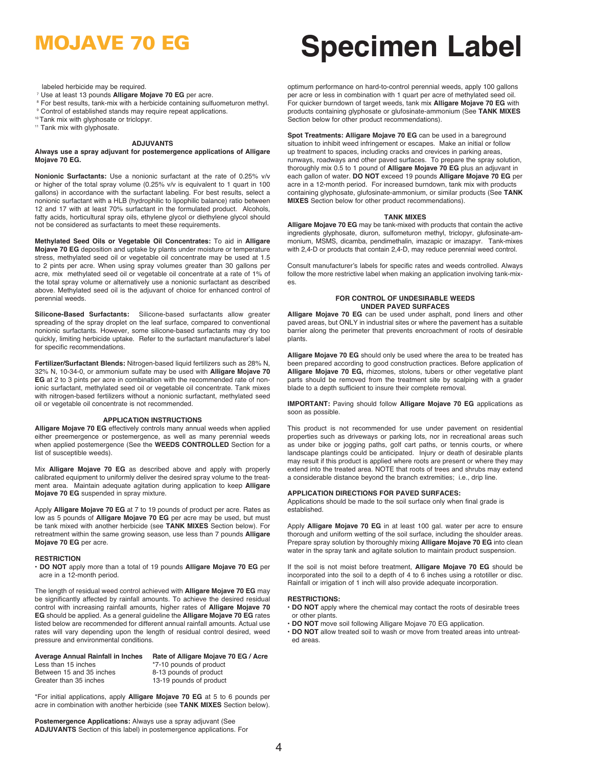- 
- labeled herbicide may be required.<br>
7 Use at least 13 pounds **Alligare Mojave 70 EG** per acre.<br>
<sup>8</sup> For best results, tank-mix with a herbicide containing sulfuometuron methyl.<br>
9 Control of established stands may require
- 
- 10 Tank mix with glyphosate or triclopyr.
- <sup>11</sup> Tank mix with glyphosate.

#### **ADJUVANTS**

**Always use a spray adjuvant for postemergence applications of Alligare Mojave 70 EG.** 

**Nonionic Surfactants:** Use a nonionic surfactant at the rate of 0.25% v/v or higher of the total spray volume (0.25% v/v is equivalent to 1 quart in 100 gallons) in accordance with the surfactant labeling. For best results, select a nonionic surfactant with a HLB (hydrophilic to lipophilic balance) ratio between 12 and 17 with at least 70% surfactant in the formulated product. Alcohols, fatty acids, horticultural spray oils, ethylene glycol or diethylene glycol should not be considered as surfactants to meet these requirements.

**Methylated Seed Oils or Vegetable Oil Concentrates:** To aid in **Alligare Mojave 70 EG** deposition and uptake by plants under moisture or temperature stress, methylated seed oil or vegetable oil concentrate may be used at 1.5 to 2 pints per acre. When using spray volumes greater than 30 gallons per acre, mix methylated seed oil or vegetable oil concentrate at a rate of 1% of the total spray volume or alternatively use a nonionic surfactant as described above. Methylated seed oil is the adjuvant of choice for enhanced control of perennial weeds.

**Silicone-Based Surfactants:** Silicone-based surfactants allow greater spreading of the spray droplet on the leaf surface, compared to conventional nonionic surfactants. However, some silicone-based surfactants may dry too quickly, limiting herbicide uptake. Refer to the surfactant manufacturer's label for specific recommendations.

**Fertilizer/Surfactant Blends:** Nitrogen-based liquid fertilizers such as 28% N, 32% N, 10-34-0, or ammonium sulfate may be used with **Alligare Mojave 70 EG** at 2 to 3 pints per acre in combination with the recommended rate of nonionic surfactant, methylated seed oil or vegetable oil concentrate. Tank mixes with nitrogen-based fertilizers without a nonionic surfactant, methylated seed oil or vegetable oil concentrate is not recommended.

#### **APPLICATION INSTRUCTIONS**

**Alligare Mojave 70 EG** effectively controls many annual weeds when applied either preemergence or postemergence, as well as many perennial weeds when applied postemergence (See the **WEEDS CONTROLLED** Section for a list of susceptible weeds).

Mix **Alligare Mojave 70 EG** as described above and apply with properly calibrated equipment to uniformly deliver the desired spray volume to the treatment area. Maintain adequate agitation during application to keep **Alligare Mojave 70 EG** suspended in spray mixture.

Apply **Alligare Mojave 70 EG** at 7 to 19 pounds of product per acre. Rates as low as 5 pounds of **Alligare Mojave 70 EG** per acre may be used, but must be tank mixed with another herbicide (see **TANK MIXES** Section below). For retreatment within the same growing season, use less than 7 pounds **Alligare Mojave 70 EG** per acre.

#### **RESTRICTION**

**• DO NOT** apply more than a total of 19 pounds **Alligare Mojave 70 EG** per acre in a 12-month period.

The length of residual weed control achieved with **Alligare Mojave 70 EG** may be significantly affected by rainfall amounts. To achieve the desired residual control with increasing rainfall amounts, higher rates of **Alligare Mojave 70 EG** should be applied. As a general guideline the **Alligare Mojave 70 EG** rates listed below are recommended for different annual rainfall amounts. Actual use rates will vary depending upon the length of residual control desired, weed pressure and environmental conditions.

| Average Annual Rainfall in Inches |  |
|-----------------------------------|--|
| Less than 15 inches               |  |
| Between 15 and 35 inches          |  |
| Greater than 35 inches            |  |
|                                   |  |

**Rate of Alligare Mojave 70 EG / Acre** \*7-10 pounds of product 8-13 pounds of product 13-19 pounds of product

\*For initial applications, apply **Alligare Mojave 70 EG** at 5 to 6 pounds per acre in combination with another herbicide (see **TANK MIXES** Section below).

**Postemergence Applications:** Always use a spray adjuvant (See **ADJUVANTS** Section of this label) in postemergence applications. For

# MOJAVE 70 EG **Specimen Label**

optimum performance on hard-to-control perennial weeds, apply 100 gallons per acre or less in combination with 1 quart per acre of methylated seed oil. For quicker burndown of target weeds, tank mix **Alligare Mojave 70 EG** with products containing glyphosate or glufosinate-ammonium (See **TANK MIXES**  Section below for other product recommendations).

**Spot Treatments: Alligare Mojave 70 EG** can be used in a bareground situation to inhibit weed infringement or escapes. Make an initial or follow up treatment to spaces, including cracks and crevices in parking areas, runways, roadways and other paved surfaces. To prepare the spray solution, thoroughly mix 0.5 to 1 pound of **Alligare Mojave 70 EG** plus an adjuvant in each gallon of water. **DO NOT** exceed 19 pounds **Alligare Mojave 70 EG** per acre in a 12-month period. For increased burndown, tank mix with products containing glyphosate, glufosinate-ammonium, or similar products (See **TANK MIXES** Section below for other product recommendations).

#### **TANK MIXES**

**Alligare Mojave 70 EG** may be tank-mixed with products that contain the active ingredients glyphosate, diuron, sulfometuron methyl, triclopyr, glufosinate-ammonium, MSMS, dicamba, pendimethalin, imazapic or imazapyr. Tank-mixes with 2,4-D or products that contain 2,4-D, may reduce perennial weed control.

Consult manufacturer's labels for specific rates and weeds controlled. Always follow the more restrictive label when making an application involving tank-mixes.

#### **FOR CONTROL OF UNDESIRABLE WEEDS UNDER PAVED SURFACES**

**Alligare Mojave 70 EG** can be used under asphalt, pond liners and other paved areas, but ONLY in industrial sites or where the pavement has a suitable barrier along the perimeter that prevents encroachment of roots of desirable plants.

**Alligare Mojave 70 EG** should only be used where the area to be treated has been prepared according to good construction practices. Before application of **Alligare Mojave 70 EG,** rhizomes, stolons, tubers or other vegetative plant parts should be removed from the treatment site by scalping with a grader blade to a depth sufficient to insure their complete removal.

**IMPORTANT:** Paving should follow **Alligare Mojave 70 EG** applications as soon as possible.

This product is not recommended for use under pavement on residential properties such as driveways or parking lots, nor in recreational areas such as under bike or jogging paths, golf cart paths, or tennis courts, or where landscape plantings could be anticipated. Injury or death of desirable plants may result if this product is applied where roots are present or where they may extend into the treated area. NOTE that roots of trees and shrubs may extend a considerable distance beyond the branch extremities; i.e., drip line.

#### **APPLICATION DIRECTIONS FOR PAVED SURFACES:**

Applications should be made to the soil surface only when final grade is established.

Apply **Alligare Mojave 70 EG** in at least 100 gal. water per acre to ensure thorough and uniform wetting of the soil surface, including the shoulder areas. Prepare spray solution by thoroughly mixing **Alligare Mojave 70 EG** into clean water in the spray tank and agitate solution to maintain product suspension.

If the soil is not moist before treatment, **Alligare Mojave 70 EG** should be incorporated into the soil to a depth of 4 to 6 inches using a rototiller or disc. Rainfall or irrigation of 1 inch will also provide adequate incorporation.

#### **RESTRICTIONS:**

- **DO NOT** apply where the chemical may contact the roots of desirable trees or other plants.
- **DO NOT** move soil following Alligare Mojave 70 EG application.
- **DO NOT** allow treated soil to wash or move from treated areas into untreated areas.